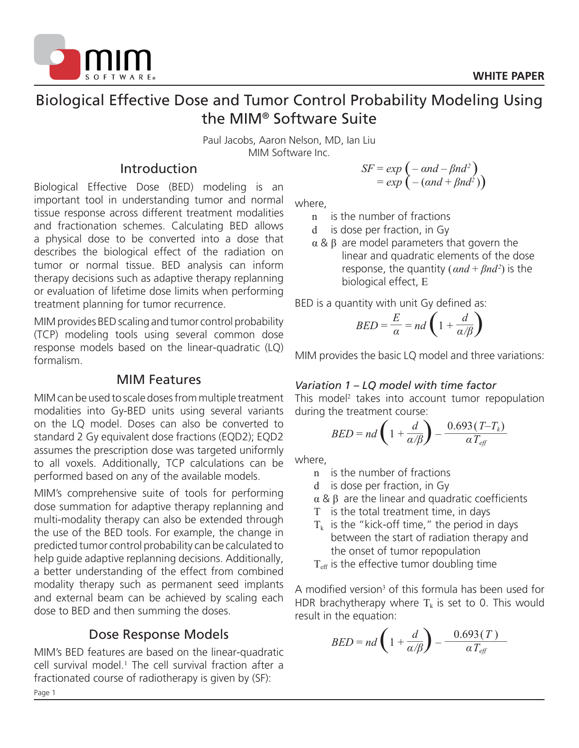

# Biological Effective Dose and Tumor Control Probability Modeling Using the MIM® Software Suite

Paul Jacobs, Aaron Nelson, MD, Ian Liu MIM Software Inc.

## Introduction

Biological Effective Dose (BED) modeling is an important tool in understanding tumor and normal tissue response across different treatment modalities and fractionation schemes. Calculating BED allows a physical dose to be converted into a dose that describes the biological effect of the radiation on tumor or normal tissue. BED analysis can inform therapy decisions such as adaptive therapy replanning or evaluation of lifetime dose limits when performing treatment planning for tumor recurrence.

MIM provides BED scaling and tumor control probability (TCP) modeling tools using several common dose response models based on the linear-quadratic (LQ) formalism.

### MIM Features

MIM can be used to scale doses from multiple treatment modalities into Gy-BED units using several variants on the LQ model. Doses can also be converted to standard 2 Gy equivalent dose fractions (EQD2); EQD2 assumes the prescription dose was targeted uniformly to all voxels. Additionally, TCP calculations can be performed based on any of the available models.

MIM's comprehensive suite of tools for performing dose summation for adaptive therapy replanning and multi-modality therapy can also be extended through the use of the BED tools. For example, the change in predicted tumor control probability can be calculated to help guide adaptive replanning decisions. Additionally, a better understanding of the effect from combined modality therapy such as permanent seed implants and external beam can be achieved by scaling each dose to BED and then summing the doses.

## Dose Response Models

Page 1 MIM's BED features are based on the linear-quadratic cell survival model.<sup>1</sup> The cell survival fraction after a fractionated course of radiotherapy is given by (SF):

$$
SF = exp(-\alpha nd - \beta nd^2)
$$
  
= exp(-(\alpha nd + \beta nd^2))

where,

- n is the number of fractions
- d is dose per fraction, in Gy
- $\alpha$  &  $\beta$  are model parameters that govern the linear and quadratic elements of the dose response, the quantity  $(\alpha nd + \beta nd^2)$  is the biological effect, E

BED is a quantity with unit Gy defined as:

$$
BED = \frac{E}{\alpha} = nd \left( 1 + \frac{d}{\alpha/\beta} \right)
$$

MIM provides the basic LQ model and three variations:

#### *Variation 1 – LQ model with time factor*

This model<sup>2</sup> takes into account tumor repopulation during the treatment course:

$$
BED = nd \left( 1 + \frac{d}{\alpha/\beta} \right) - \frac{0.693 (T - T_k)}{\alpha T_{\text{eff}}}
$$

where,

- n is the number of fractions
- d is dose per fraction, in Gy
- α & β are the linear and quadratic coefficients
- T is the total treatment time, in days
- $T_k$  is the "kick-off time," the period in days between the start of radiation therapy and the onset of tumor repopulation

 $T<sub>eff</sub>$  is the effective tumor doubling time

A modified version<sup>3</sup> of this formula has been used for HDR brachytherapy where  $T_k$  is set to 0. This would result in the equation:

$$
BED = nd \left( 1 + \frac{d}{\alpha/\beta} \right) - \frac{0.693(T)}{\alpha T_{\text{eff}}}
$$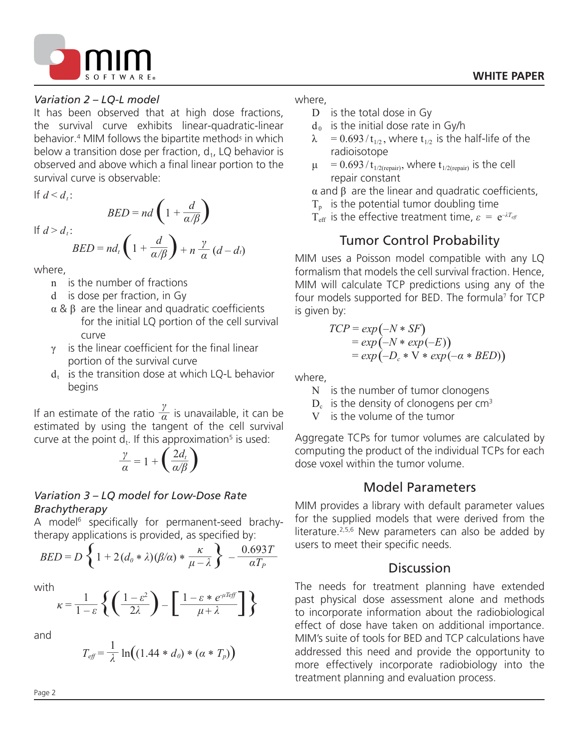

#### *Variation 2 – LQ-L model*

It has been observed that at high dose fractions, the survival curve exhibits linear-quadratic-linear behavior.<sup>4</sup> MIM follows the bipartite method<sup>5</sup> in which below a transition dose per fraction,  $d_t$ , LQ behavior is observed and above which a final linear portion to the survival curve is observable:

If  $d \leq d_i$ :

If  $d > d_i$ :

$$
BED = nd \left( 1 + \frac{d}{\alpha/\beta} \right)
$$

$$
BED = nd_t \left( 1 + \frac{d}{\alpha/\beta} \right) + n \frac{\gamma}{\alpha} (d - d_t)
$$

where,

- n is the number of fractions
- d is dose per fraction, in Gy
- α & β are the linear and quadratic coefficients for the initial LQ portion of the cell survival curve
- $\gamma$  is the linear coefficient for the final linear portion of the survival curve
- $d_t$  is the transition dose at which LQ-L behavior begins

If an estimate of the ratio  $\frac{\gamma}{\alpha}$  is unavailable, it can be estimated by using the tangent of the cell survival curve at the point  $d_t$ . If this approximation<sup>5</sup> is used:

$$
\frac{\gamma}{\alpha} = 1 + \left(\frac{2d_t}{\alpha/\beta}\right)
$$

#### *Variation 3 – LQ model for Low-Dose Rate Brachytherapy*

A model<sup>6</sup> specifically for permanent-seed brachytherapy applications is provided, as specified by:

$$
BED = D \left\{ 1 + 2(d_0 * \lambda)(\beta/\alpha) * \frac{\kappa}{\mu - \lambda} \right\} - \frac{0.693T}{\alpha T_P}
$$

with

$$
\kappa = \frac{1}{1-\varepsilon} \left\{ \left( \frac{1-\varepsilon^2}{2\lambda} \right) - \left[ \frac{1-\varepsilon \ast e^{\mu T \varepsilon f}}{\mu + \lambda} \right] \right\}
$$

and

$$
T_{\text{eff}} = \frac{1}{\lambda} \ln \Big( (1.44 \ast d_0) \ast (\alpha \ast T_p) \Big)
$$

#### where,

- D is the total dose in Gy
- $d_0$  is the initial dose rate in Gy/h
- $\lambda = 0.693 / t_{1/2}$ , where  $t_{1/2}$  is the half-life of the radioisotope
- $\mu = 0.693/t_{1/2(repair)}$ , where  $t_{1/2(repair)}$  is the cell repair constant

 α and β are the linear and quadratic coefficients,

 $T<sub>p</sub>$  is the potential tumor doubling time

T<sub>eff</sub> is the effective treatment time,  $\varepsilon = e^{-\lambda T_{\text{eff}}}$ 

## Tumor Control Probability

MIM uses a Poisson model compatible with any LQ formalism that models the cell survival fraction. Hence, MIM will calculate TCP predictions using any of the four models supported for BED. The formula<sup>7</sup> for TCP is given by:

$$
TCP = exp(-N * SF)
$$
  
= exp(-N \* exp(-E))  
= exp(-D<sub>c</sub> \* V \* exp(- $\alpha$  \* BED))

where,

- N is the number of tumor clonogens
- $D_c$  is the density of clonogens per cm<sup>3</sup>
- V is the volume of the tumor

Aggregate TCPs for tumor volumes are calculated by computing the product of the individual TCPs for each dose voxel within the tumor volume.

### Model Parameters

MIM provides a library with default parameter values for the supplied models that were derived from the literature.<sup>2,5,6</sup> New parameters can also be added by users to meet their specific needs.

### **Discussion**

The needs for treatment planning have extended past physical dose assessment alone and methods to incorporate information about the radiobiological effect of dose have taken on additional importance. MIM's suite of tools for BED and TCP calculations have addressed this need and provide the opportunity to more effectively incorporate radiobiology into the treatment planning and evaluation process.